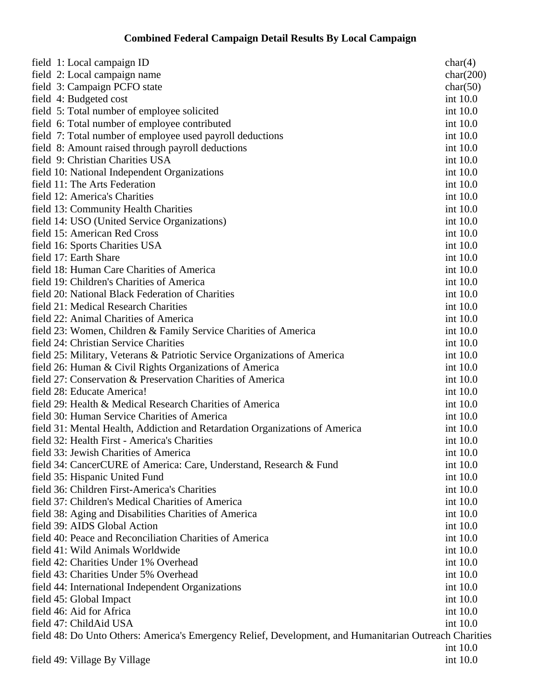## **Combined Federal Campaign Detail Results By Local Campaign**

| field 1: Local campaign ID                                                                             | char(4)   |  |
|--------------------------------------------------------------------------------------------------------|-----------|--|
| field 2: Local campaign name                                                                           | char(200) |  |
| field 3: Campaign PCFO state                                                                           | char(50)  |  |
| field 4: Budgeted cost                                                                                 | int 10.0  |  |
| field 5: Total number of employee solicited                                                            | int 10.0  |  |
| field 6: Total number of employee contributed                                                          | int 10.0  |  |
| field 7: Total number of employee used payroll deductions                                              | int 10.0  |  |
| field 8: Amount raised through payroll deductions                                                      | int 10.0  |  |
| field 9: Christian Charities USA                                                                       | int 10.0  |  |
| field 10: National Independent Organizations                                                           | int 10.0  |  |
| field 11: The Arts Federation                                                                          | int 10.0  |  |
| field 12: America's Charities                                                                          | int 10.0  |  |
| field 13: Community Health Charities                                                                   | int 10.0  |  |
| field 14: USO (United Service Organizations)                                                           | int 10.0  |  |
| field 15: American Red Cross                                                                           | int 10.0  |  |
| field 16: Sports Charities USA                                                                         | int 10.0  |  |
| field 17: Earth Share                                                                                  | int 10.0  |  |
| field 18: Human Care Charities of America                                                              | int 10.0  |  |
| field 19: Children's Charities of America                                                              | int 10.0  |  |
| field 20: National Black Federation of Charities                                                       | int 10.0  |  |
| field 21: Medical Research Charities                                                                   | int 10.0  |  |
| field 22: Animal Charities of America                                                                  | int 10.0  |  |
| field 23: Women, Children & Family Service Charities of America                                        | int 10.0  |  |
| field 24: Christian Service Charities                                                                  | int 10.0  |  |
| field 25: Military, Veterans & Patriotic Service Organizations of America                              | int 10.0  |  |
| field 26: Human & Civil Rights Organizations of America                                                | int 10.0  |  |
| field 27: Conservation & Preservation Charities of America                                             | int 10.0  |  |
| field 28: Educate America!                                                                             | int 10.0  |  |
| field 29: Health & Medical Research Charities of America                                               | int 10.0  |  |
| field 30: Human Service Charities of America                                                           | int 10.0  |  |
| field 31: Mental Health, Addiction and Retardation Organizations of America                            | int 10.0  |  |
| field 32: Health First - America's Charities                                                           | int 10.0  |  |
| field 33: Jewish Charities of America                                                                  | int 10.0  |  |
| field 34: CancerCURE of America: Care, Understand, Research & Fund                                     | int 10.0  |  |
| field 35: Hispanic United Fund                                                                         | int 10.0  |  |
| field 36: Children First-America's Charities                                                           | int 10.0  |  |
| field 37: Children's Medical Charities of America                                                      | int 10.0  |  |
| field 38: Aging and Disabilities Charities of America                                                  | int 10.0  |  |
| field 39: AIDS Global Action                                                                           | int 10.0  |  |
| field 40: Peace and Reconciliation Charities of America                                                | int 10.0  |  |
| field 41: Wild Animals Worldwide                                                                       | int 10.0  |  |
| field 42: Charities Under 1% Overhead                                                                  | int 10.0  |  |
| field 43: Charities Under 5% Overhead                                                                  | int 10.0  |  |
| field 44: International Independent Organizations                                                      | int 10.0  |  |
| field 45: Global Impact                                                                                | int 10.0  |  |
| field 46: Aid for Africa                                                                               | int 10.0  |  |
| field 47: ChildAid USA                                                                                 | int 10.0  |  |
| field 48: Do Unto Others: America's Emergency Relief, Development, and Humanitarian Outreach Charities |           |  |
|                                                                                                        | int 10.0  |  |
| field 49: Village By Village                                                                           | int 10.0  |  |